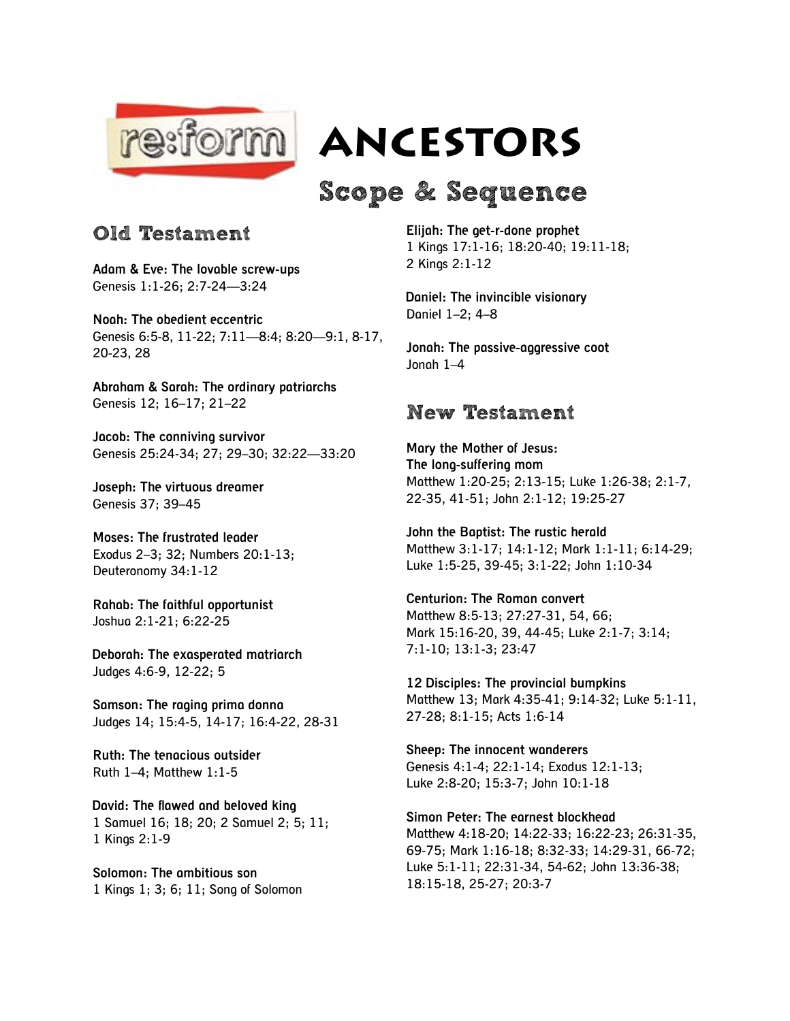

*<b>Resiorm ANCESTORS* 

## Scope & Sequence

## Old Testament

**Adam & Eve: The lovable screw-ups** Genesis 1:1-26; 2:7-24—3:24

**Noah: The obedient eccentric** Genesis 6:5-8, 11-22; 7:11—8:4; 8:20—9:1, 8-17, 20-23, 28

**Abraham & Sarah: The ordinary patriarchs** Genesis 12; 16–17; 21–22

**Jacob: The conniving survivor** Genesis 25:24-34; 27; 29–30; 32:22—33:20

**Joseph: The virtuous dreamer** Genesis 37; 39–45

**Moses: The frustrated leader** Exodus 2–3; 32; Numbers 20:1-13; Deuteronomy 34:1-12

**Rahab: The faithful opportunist** Joshua 2:1-21; 6:22-25

**Deborah: The exasperated matriarch** Judges 4:6-9, 12-22; 5

**Samson: The raging prima donna** Judges 14; 15:4-5, 14-17; 16:4-22, 28-31

**Ruth: The tenacious outsider** Ruth 1–4; Matthew 1:1-5

**David: The flawed and beloved king** 1 Samuel 16; 18; 20; 2 Samuel 2; 5; 11; 1 Kings 2:1-9

**Solomon: The ambitious son** 1 Kings 1; 3; 6; 11; Song of Solomon **Elijah: The get-r-done prophet** 1 Kings 17:1-16; 18:20-40; 19:11-18; 2 Kings 2:1-12

**Daniel: The invincible visionary** Daniel 1–2; 4–8

**Jonah: The passive-aggressive coot** Jonah 1–4

## New Testament

**Mary the Mother of Jesus: The long-suffering mom** Matthew 1:20-25; 2:13-15; Luke 1:26-38; 2:1-7, 22-35, 41-51; John 2:1-12; 19:25-27

**John the Baptist: The rustic herald** Matthew 3:1-17; 14:1-12; Mark 1:1-11; 6:14-29; Luke 1:5-25, 39-45; 3:1-22; John 1:10-34

**Centurion: The Roman convert** Matthew 8:5-13; 27:27-31, 54, 66; Mark 15:16-20, 39, 44-45; Luke 2:1-7; 3:14; 7:1-10; 13:1-3; 23:47

**12 Disciples: The provincial bumpkins** Matthew 13; Mark 4:35-41; 9:14-32; Luke 5:1-11, 27-28; 8:1-15; Acts 1:6-14

**Sheep: The innocent wanderers** Genesis 4:1-4; 22:1-14; Exodus 12:1-13; Luke 2:8-20; 15:3-7; John 10:1-18

**Simon Peter: The earnest blockhead** Matthew 4:18-20; 14:22-33; 16:22-23; 26:31-35, 69-75; Mark 1:16-18; 8:32-33; 14:29-31, 66-72; Luke 5:1-11; 22:31-34, 54-62; John 13:36-38; 18:15-18, 25-27; 20:3-7